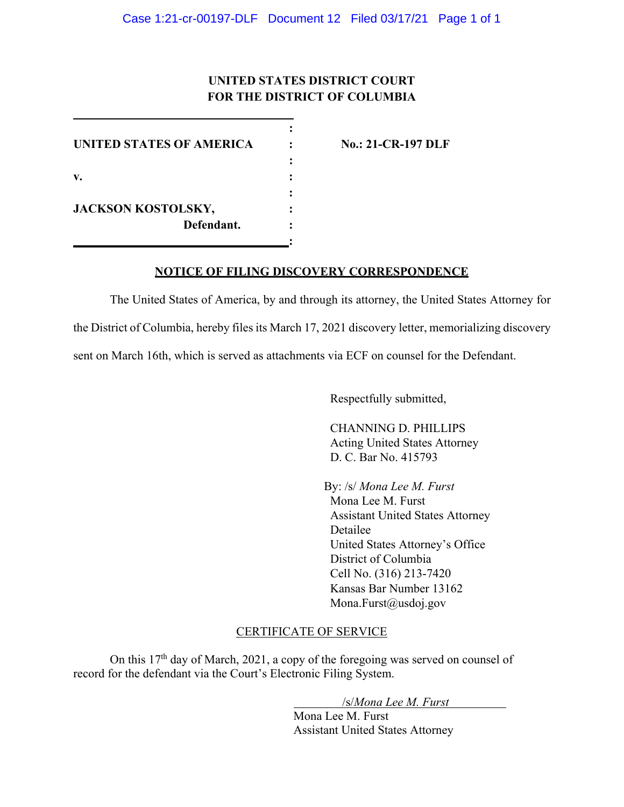# **UNITED STATES DISTRICT COURT FOR THE DISTRICT OF COLUMBIA**

**:**

**:**

**:** 

**:**

**UNITED STATES OF AMERICA : No.: 21-CR-197 DLF v. : JACKSON KOSTOLSKY, : Defendant. :**

## **NOTICE OF FILING DISCOVERY CORRESPONDENCE**

The United States of America, by and through its attorney, the United States Attorney for the District of Columbia, hereby files its March 17, 2021 discovery letter, memorializing discovery sent on March 16th, which is served as attachments via ECF on counsel for the Defendant.

Respectfully submitted,

CHANNING D. PHILLIPS Acting United States Attorney D. C. Bar No. 415793

By: /s/ *Mona Lee M. Furst*  Mona Lee M. Furst Assistant United States Attorney Detailee United States Attorney's Office District of Columbia Cell No. (316) 213-7420 Kansas Bar Number 13162 Mona.Furst@usdoj.gov

## CERTIFICATE OF SERVICE

On this 17th day of March, 2021, a copy of the foregoing was served on counsel of record for the defendant via the Court's Electronic Filing System.

/s/*Mona Lee M. Furst*

Mona Lee M. Furst Assistant United States Attorney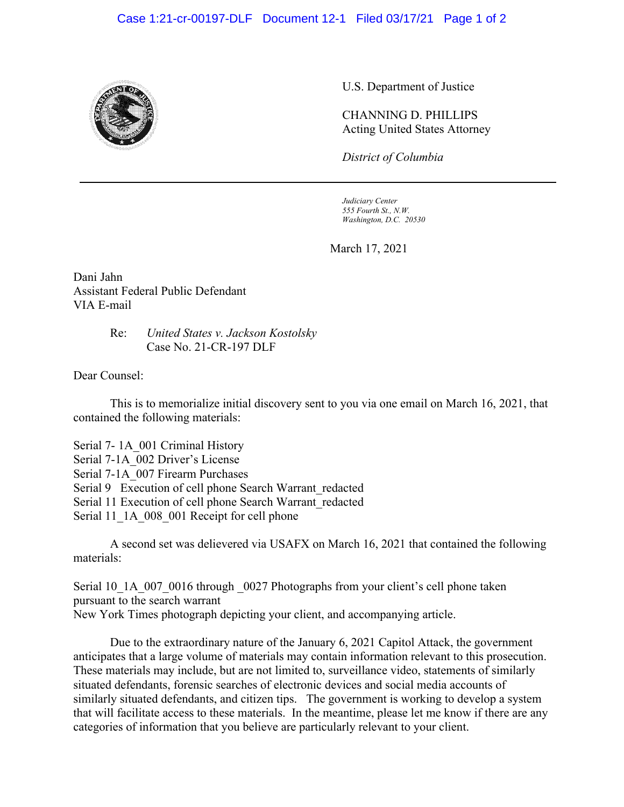#### Case 1:21-cr-00197-DLF Document 12-1 Filed 03/17/21 Page 1 of 2



U.S. Department of Justice

CHANNING D. PHILLIPS Acting United States Attorney

*District of Columbia*

*Judiciary Center 555 Fourth St., N.W. Washington, D.C. 20530*

March 17, 2021

Dani Jahn Assistant Federal Public Defendant VIA E-mail

#### Re: *United States v. Jackson Kostolsky* Case No. 21-CR-197 DLF

Dear Counsel:

This is to memorialize initial discovery sent to you via one email on March 16, 2021, that contained the following materials:

Serial 7- 1A\_001 Criminal History Serial 7-1A\_002 Driver's License Serial 7-1A\_007 Firearm Purchases Serial 9 Execution of cell phone Search Warrant redacted Serial 11 Execution of cell phone Search Warrant\_redacted Serial 11\_1A\_008\_001 Receipt for cell phone

A second set was delievered via USAFX on March 16, 2021 that contained the following materials:

Serial 10\_1A\_007\_0016 through \_0027 Photographs from your client's cell phone taken pursuant to the search warrant New York Times photograph depicting your client, and accompanying article.

Due to the extraordinary nature of the January 6, 2021 Capitol Attack, the government anticipates that a large volume of materials may contain information relevant to this prosecution. These materials may include, but are not limited to, surveillance video, statements of similarly situated defendants, forensic searches of electronic devices and social media accounts of similarly situated defendants, and citizen tips. The government is working to develop a system that will facilitate access to these materials. In the meantime, please let me know if there are any categories of information that you believe are particularly relevant to your client.